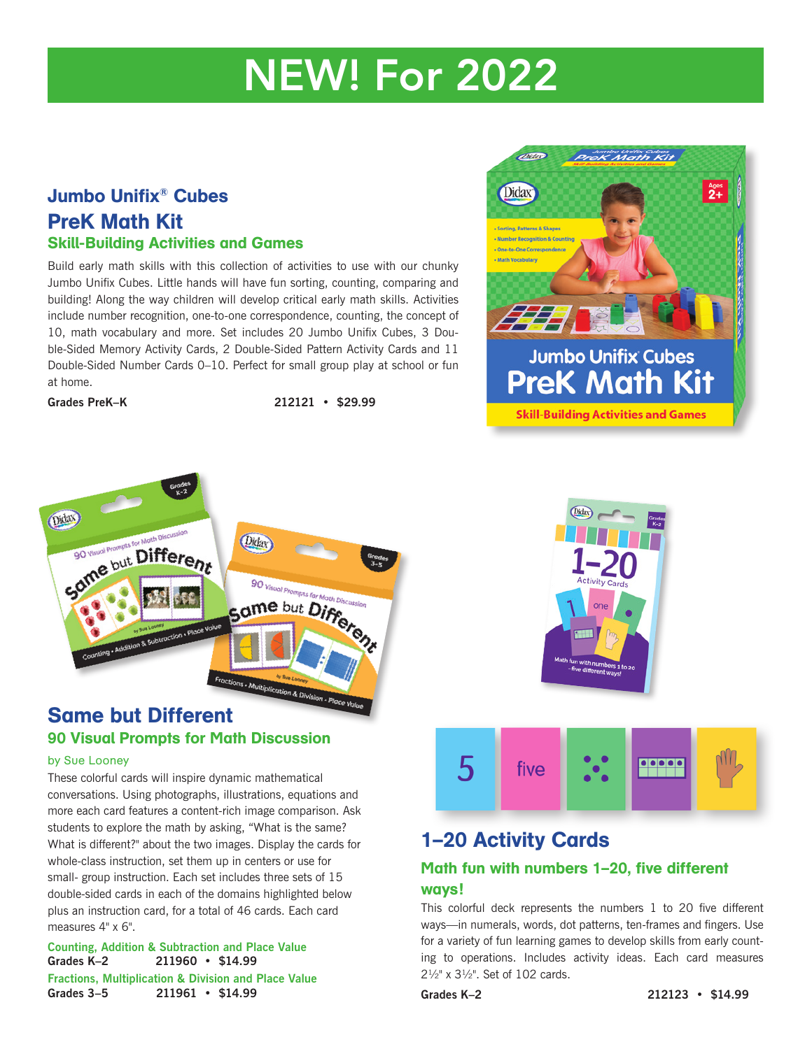# NEW! For 2022

#### Jumbo Unifix® Cubes PreK Math Kit Skill-Building Activities and Games

Build early math skills with this collection of activities to use with our chunky Jumbo Unifix Cubes. Little hands will have fun sorting, counting, comparing and building! Along the way children will develop critical early math skills. Activities include number recognition, one-to-one correspondence, counting, the concept of 10, math vocabulary and more. Set includes 20 Jumbo Unifix Cubes, 3 Double-Sided Memory Activity Cards, 2 Double-Sided Pattern Activity Cards and 11 Double-Sided Number Cards 0–10. Perfect for small group play at school or fun at home.

**Grades PreK–K 212121 • \$29.99**



## Same but Different 90 Visual Prompts for Math Discussion

#### by Sue Looney

These colorful cards will inspire dynamic mathematical conversations. Using photographs, illustrations, equations and more each card features a content-rich image comparison. Ask students to explore the math by asking, "What is the same? What is different?" about the two images. Display the cards for whole-class instruction, set them up in centers or use for small- group instruction. Each set includes three sets of 15 double-sided cards in each of the domains highlighted below plus an instruction card, for a total of 46 cards. Each card measures  $4" \times 6"$ .

#### **Counting, Addition & Subtraction and Place Value Grades K–2 211960 • \$14.99 Fractions, Multiplication & Division and Place Value Grades 3–5 211961 • \$14.99**







### 1–20 Activity Cards

#### Math fun with numbers 1–20, five different ways!

This colorful deck represents the numbers 1 to 20 five different ways—in numerals, words, dot patterns, ten-frames and fingers. Use for a variety of fun learning games to develop skills from early counting to operations. Includes activity ideas. Each card measures 2½" x 3½". Set of 102 cards.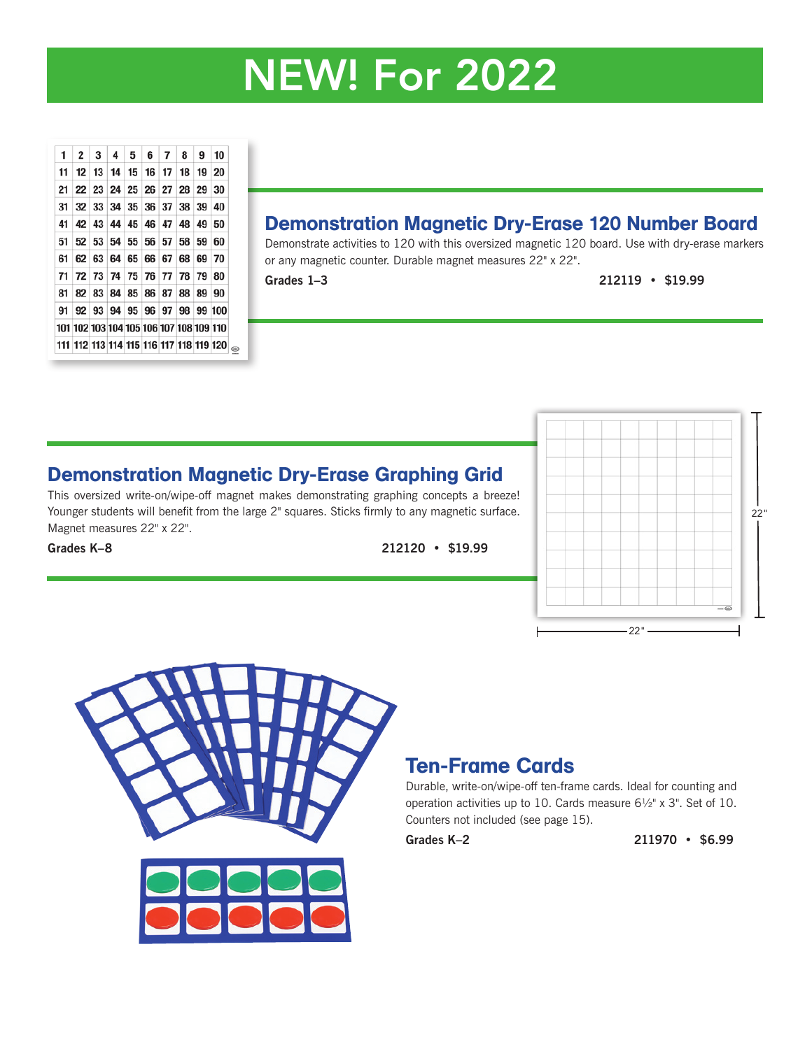# NEW! For 2022

| 1  |                                         |  | $2 \mid 3 \mid 4 \mid 5 \mid 6 \mid 7 \mid 8 \mid 9 \mid 10$ |  |  |
|----|-----------------------------------------|--|--------------------------------------------------------------|--|--|
| 11 |                                         |  | 12 13 14 15 16 17 18 19 20                                   |  |  |
| 21 | 22 23 24 25 26 27 28 29 30              |  |                                                              |  |  |
| 31 | 32 33 34 35 36 37 38 39 40              |  |                                                              |  |  |
| 41 | 42 43 44 45 46 47 48 49 50              |  |                                                              |  |  |
| 51 | 52 53 54 55 56 57 58 59 60              |  |                                                              |  |  |
| 61 |                                         |  | 62 63 64 65 66 67 68 69 70                                   |  |  |
| 71 | 72 73 74 75 76 77 78 79 80              |  |                                                              |  |  |
| 81 | 82 83 84 85 86 87 88 89 90              |  |                                                              |  |  |
| 91 | 92 93 94 95 96 97 98 99 100             |  |                                                              |  |  |
|    | 101 102 103 104 105 106 107 108 109 110 |  |                                                              |  |  |
|    | 111 112 113 114 115 116 117 118 119 120 |  |                                                              |  |  |

### Demonstration Magnetic Dry-Erase 120 Number Board

Demonstrate activities to 120 with this oversized magnetic 120 board. Use with dry-erase markers or any magnetic counter. Durable magnet measures 22" x 22".

**Grades 1–3 212119 • \$19.99**

### Demonstration Magnetic Dry-Erase Graphing Grid

This oversized write-on/wipe-off magnet makes demonstrating graphing concepts a breeze! Younger students will benefit from the large 2" squares. Sticks firmly to any magnetic surface. Magnet measures 22" x 22".

**Grades K–8 212120 • \$19.99**





## Ten-Frame Cards

Durable, write-on/wipe-off ten-frame cards. Ideal for counting and operation activities up to 10. Cards measure 6½" x 3". Set of 10. Counters not included (see page 15).

**Grades K–2 211970 • \$6.99**